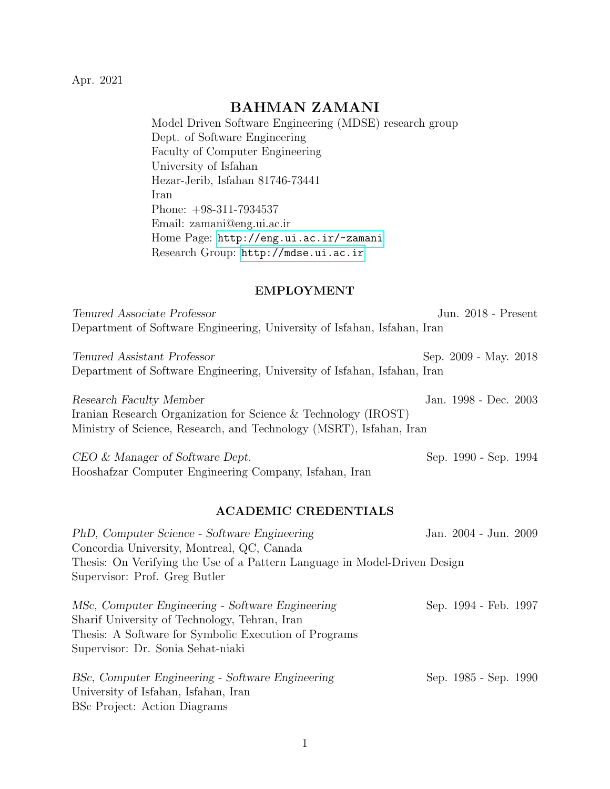Apr. 2021

# BAHMAN ZAMANI

Model Driven Software Engineering (MDSE) research group Dept. of Software Engineering Faculty of Computer Engineering University of Isfahan Hezar-Jerib, Isfahan 81746-73441 Iran Phone: +98-311-7934537 Email: zamani@eng.ui.ac.ir Home Page: <http://eng.ui.ac.ir/~zamani> Research Group: <http://mdse.ui.ac.ir>

#### EMPLOYMENT

| Tenured Associate Professor                                              |                                             |  | Jun. $2018$ - Present |  |
|--------------------------------------------------------------------------|---------------------------------------------|--|-----------------------|--|
| Department of Software Engineering, University of Isfahan, Isfahan, Iran |                                             |  |                       |  |
| $T_{\text{source}}$ d association $D_{\text{ref}}$                       | $C_{\text{max}}$ 0000 M <sub>sss</sub> 0010 |  |                       |  |

Tenured Assistant Professor Sep. 2009 - May. 2018 Department of Software Engineering, University of Isfahan, Isfahan, Iran

| Research Faculty Member                                             | Jan. 1998 - Dec. 2003 |  |
|---------------------------------------------------------------------|-----------------------|--|
| Iranian Research Organization for Science & Technology $(IROST)$    |                       |  |
| Ministry of Science, Research, and Technology (MSRT), Isfahan, Iran |                       |  |

CEO & Manager of Software Dept. Sep. 1990 - Sep. 1994 Hooshafzar Computer Engineering Company, Isfahan, Iran

#### ACADEMIC CREDENTIALS

PhD, Computer Science - Software Engineering Jan. 2004 - Jun. 2009 Concordia University, Montreal, QC, Canada Thesis: On Verifying the Use of a Pattern Language in Model-Driven Design Supervisor: Prof. Greg Butler MSc, Computer Engineering - Software Engineering Sep. 1994 - Feb. 1997 Sharif University of Technology, Tehran, Iran Thesis: A Software for Symbolic Execution of Programs Supervisor: Dr. Sonia Sehat-niaki

| BSc, Computer Engineering - Software Engineering | Sep. 1985 - Sep. 1990 |  |
|--------------------------------------------------|-----------------------|--|
| University of Isfahan, Isfahan, Iran             |                       |  |
| <b>BSc Project:</b> Action Diagrams              |                       |  |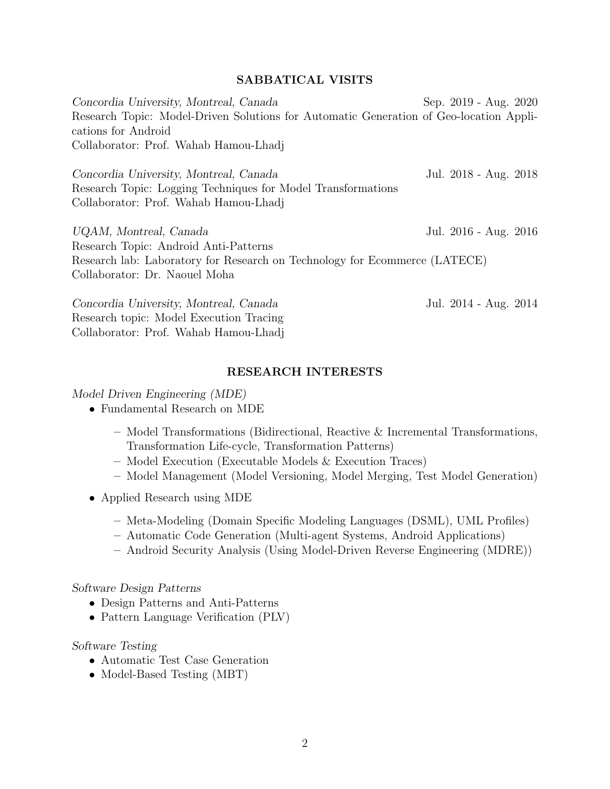## SABBATICAL VISITS

Concordia University, Montreal, Canada Sep. 2019 - Aug. 2020 Research Topic: Model-Driven Solutions for Automatic Generation of Geo-location Applications for Android Collaborator: Prof. Wahab Hamou-Lhadj Concordia University, Montreal, Canada Jul. 2018 - Aug. 2018 Research Topic: Logging Techniques for Model Transformations Collaborator: Prof. Wahab Hamou-Lhadj UQAM, Montreal, Canada Jul. 2016 - Aug. 2016 Research Topic: Android Anti-Patterns Research lab: Laboratory for Research on Technology for Ecommerce (LATECE) Collaborator: Dr. Naouel Moha Concordia University, Montreal, Canada Jul. 2014 - Aug. 2014

Research topic: Model Execution Tracing Collaborator: Prof. Wahab Hamou-Lhadj

### RESEARCH INTERESTS

#### Model Driven Engineering (MDE)

- Fundamental Research on MDE
	- Model Transformations (Bidirectional, Reactive & Incremental Transformations, Transformation Life-cycle, Transformation Patterns)
	- Model Execution (Executable Models & Execution Traces)
	- Model Management (Model Versioning, Model Merging, Test Model Generation)
- Applied Research using MDE
	- Meta-Modeling (Domain Specific Modeling Languages (DSML), UML Profiles)
	- Automatic Code Generation (Multi-agent Systems, Android Applications)
	- Android Security Analysis (Using Model-Driven Reverse Engineering (MDRE))

#### Software Design Patterns

- Design Patterns and Anti-Patterns
- Pattern Language Verification (PLV)

#### Software Testing

- Automatic Test Case Generation
- Model-Based Testing (MBT)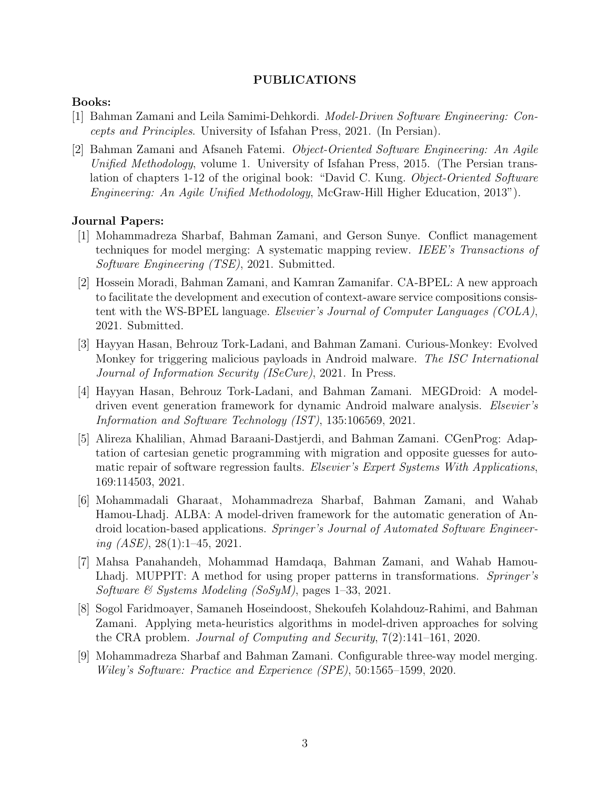#### PUBLICATIONS

#### Books:

- [1] Bahman Zamani and Leila Samimi-Dehkordi. Model-Driven Software Engineering: Concepts and Principles. University of Isfahan Press, 2021. (In Persian).
- [2] Bahman Zamani and Afsaneh Fatemi. Object-Oriented Software Engineering: An Agile Unified Methodology, volume 1. University of Isfahan Press, 2015. (The Persian translation of chapters 1-12 of the original book: "David C. Kung. Object-Oriented Software Engineering: An Agile Unified Methodology, McGraw-Hill Higher Education, 2013").

#### Journal Papers:

- [1] Mohammadreza Sharbaf, Bahman Zamani, and Gerson Sunye. Conflict management techniques for model merging: A systematic mapping review. IEEE's Transactions of Software Engineering (TSE), 2021. Submitted.
- [2] Hossein Moradi, Bahman Zamani, and Kamran Zamanifar. CA-BPEL: A new approach to facilitate the development and execution of context-aware service compositions consistent with the WS-BPEL language. Elsevier's Journal of Computer Languages (COLA), 2021. Submitted.
- [3] Hayyan Hasan, Behrouz Tork-Ladani, and Bahman Zamani. Curious-Monkey: Evolved Monkey for triggering malicious payloads in Android malware. The ISC International Journal of Information Security (ISeCure), 2021. In Press.
- [4] Hayyan Hasan, Behrouz Tork-Ladani, and Bahman Zamani. MEGDroid: A modeldriven event generation framework for dynamic Android malware analysis. Elsevier's Information and Software Technology (IST), 135:106569, 2021.
- [5] Alireza Khalilian, Ahmad Baraani-Dastjerdi, and Bahman Zamani. CGenProg: Adaptation of cartesian genetic programming with migration and opposite guesses for automatic repair of software regression faults. Elsevier's Expert Systems With Applications, 169:114503, 2021.
- [6] Mohammadali Gharaat, Mohammadreza Sharbaf, Bahman Zamani, and Wahab Hamou-Lhadj. ALBA: A model-driven framework for the automatic generation of Android location-based applications. Springer's Journal of Automated Software Engineering  $(ASE)$ , 28(1):1-45, 2021.
- [7] Mahsa Panahandeh, Mohammad Hamdaqa, Bahman Zamani, and Wahab Hamou-Lhadj. MUPPIT: A method for using proper patterns in transformations. Springer's Software & Systems Modeling  $(SoSyM)$ , pages 1–33, 2021.
- [8] Sogol Faridmoayer, Samaneh Hoseindoost, Shekoufeh Kolahdouz-Rahimi, and Bahman Zamani. Applying meta-heuristics algorithms in model-driven approaches for solving the CRA problem. Journal of Computing and Security, 7(2):141–161, 2020.
- [9] Mohammadreza Sharbaf and Bahman Zamani. Configurable three-way model merging. Wiley's Software: Practice and Experience (SPE), 50:1565–1599, 2020.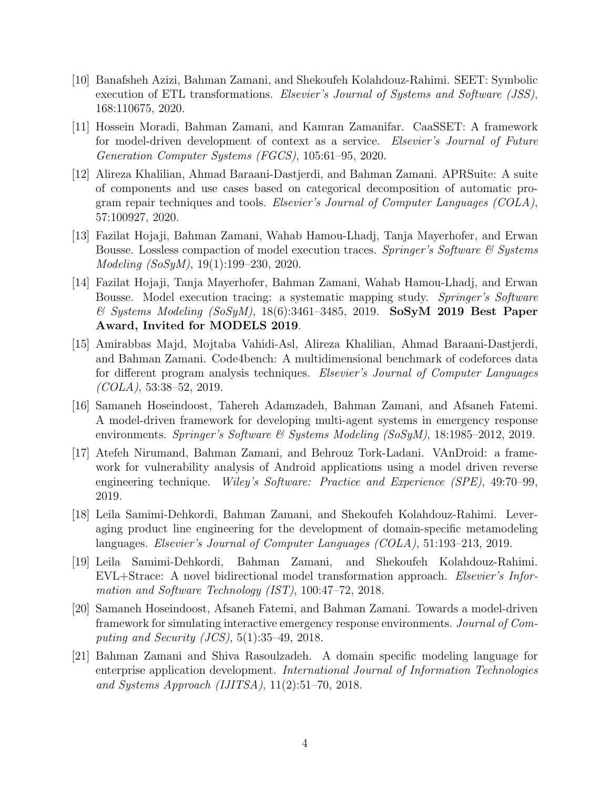- [10] Banafsheh Azizi, Bahman Zamani, and Shekoufeh Kolahdouz-Rahimi. SEET: Symbolic execution of ETL transformations. Elsevier's Journal of Systems and Software (JSS), 168:110675, 2020.
- [11] Hossein Moradi, Bahman Zamani, and Kamran Zamanifar. CaaSSET: A framework for model-driven development of context as a service. Elsevier's Journal of Future Generation Computer Systems (FGCS), 105:61–95, 2020.
- [12] Alireza Khalilian, Ahmad Baraani-Dastjerdi, and Bahman Zamani. APRSuite: A suite of components and use cases based on categorical decomposition of automatic program repair techniques and tools. Elsevier's Journal of Computer Languages (COLA), 57:100927, 2020.
- [13] Fazilat Hojaji, Bahman Zamani, Wahab Hamou-Lhadj, Tanja Mayerhofer, and Erwan Bousse. Lossless compaction of model execution traces. Springer's Software & Systems Modeling (SoSyM), 19(1):199–230, 2020.
- [14] Fazilat Hojaji, Tanja Mayerhofer, Bahman Zamani, Wahab Hamou-Lhadj, and Erwan Bousse. Model execution tracing: a systematic mapping study. Springer's Software  $\&$  Systems Modeling (SoSyM), 18(6):3461-3485, 2019. SoSyM 2019 Best Paper Award, Invited for MODELS 2019.
- [15] Amirabbas Majd, Mojtaba Vahidi-Asl, Alireza Khalilian, Ahmad Baraani-Dastjerdi, and Bahman Zamani. Code4bench: A multidimensional benchmark of codeforces data for different program analysis techniques. Elsevier's Journal of Computer Languages  $(COLA), 53:38-52, 2019.$
- [16] Samaneh Hoseindoost, Tahereh Adamzadeh, Bahman Zamani, and Afsaneh Fatemi. A model-driven framework for developing multi-agent systems in emergency response environments. Springer's Software & Systems Modeling (SoSyM), 18:1985–2012, 2019.
- [17] Atefeh Nirumand, Bahman Zamani, and Behrouz Tork-Ladani. VAnDroid: a framework for vulnerability analysis of Android applications using a model driven reverse engineering technique. Wiley's Software: Practice and Experience (SPE), 49:70–99, 2019.
- [18] Leila Samimi-Dehkordi, Bahman Zamani, and Shekoufeh Kolahdouz-Rahimi. Leveraging product line engineering for the development of domain-specific metamodeling languages. Elsevier's Journal of Computer Languages (COLA), 51:193–213, 2019.
- [19] Leila Samimi-Dehkordi, Bahman Zamani, and Shekoufeh Kolahdouz-Rahimi. EVL+Strace: A novel bidirectional model transformation approach. Elsevier's Information and Software Technology (IST), 100:47–72, 2018.
- [20] Samaneh Hoseindoost, Afsaneh Fatemi, and Bahman Zamani. Towards a model-driven framework for simulating interactive emergency response environments. Journal of Computing and Security (JCS),  $5(1):35-49$ , 2018.
- [21] Bahman Zamani and Shiva Rasoulzadeh. A domain specific modeling language for enterprise application development. International Journal of Information Technologies and Systems Approach (IJITSA), 11(2):51–70, 2018.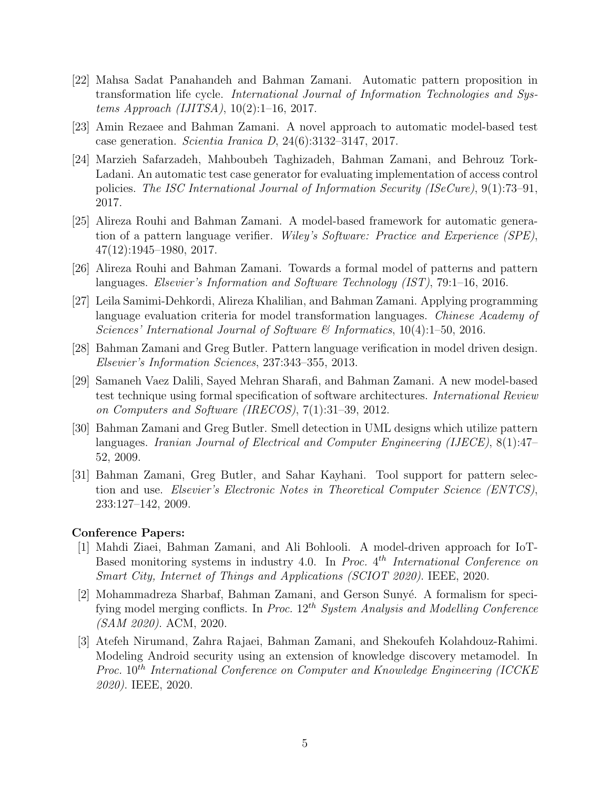- [22] Mahsa Sadat Panahandeh and Bahman Zamani. Automatic pattern proposition in transformation life cycle. International Journal of Information Technologies and Systems Approach (IJITSA), 10(2):1–16, 2017.
- [23] Amin Rezaee and Bahman Zamani. A novel approach to automatic model-based test case generation. Scientia Iranica D, 24(6):3132–3147, 2017.
- [24] Marzieh Safarzadeh, Mahboubeh Taghizadeh, Bahman Zamani, and Behrouz Tork-Ladani. An automatic test case generator for evaluating implementation of access control policies. The ISC International Journal of Information Security (ISeCure), 9(1):73–91, 2017.
- [25] Alireza Rouhi and Bahman Zamani. A model-based framework for automatic generation of a pattern language verifier. Wiley's Software: Practice and Experience (SPE), 47(12):1945–1980, 2017.
- [26] Alireza Rouhi and Bahman Zamani. Towards a formal model of patterns and pattern languages. Elsevier's Information and Software Technology (IST), 79:1–16, 2016.
- [27] Leila Samimi-Dehkordi, Alireza Khalilian, and Bahman Zamani. Applying programming language evaluation criteria for model transformation languages. Chinese Academy of Sciences' International Journal of Software & Informatics, 10(4):1–50, 2016.
- [28] Bahman Zamani and Greg Butler. Pattern language verification in model driven design. Elsevier's Information Sciences, 237:343–355, 2013.
- [29] Samaneh Vaez Dalili, Sayed Mehran Sharafi, and Bahman Zamani. A new model-based test technique using formal specification of software architectures. International Review on Computers and Software (IRECOS), 7(1):31–39, 2012.
- [30] Bahman Zamani and Greg Butler. Smell detection in UML designs which utilize pattern languages. Iranian Journal of Electrical and Computer Engineering (IJECE), 8(1):47– 52, 2009.
- [31] Bahman Zamani, Greg Butler, and Sahar Kayhani. Tool support for pattern selection and use. Elsevier's Electronic Notes in Theoretical Computer Science (ENTCS), 233:127–142, 2009.

#### Conference Papers:

- [1] Mahdi Ziaei, Bahman Zamani, and Ali Bohlooli. A model-driven approach for IoT-Based monitoring systems in industry 4.0. In Proc.  $4^{th}$  International Conference on Smart City, Internet of Things and Applications (SCIOT 2020). IEEE, 2020.
- [2] Mohammadreza Sharbaf, Bahman Zamani, and Gerson Sunyé. A formalism for specifying model merging conflicts. In Proc.  $12^{th}$  System Analysis and Modelling Conference (SAM 2020). ACM, 2020.
- [3] Atefeh Nirumand, Zahra Rajaei, Bahman Zamani, and Shekoufeh Kolahdouz-Rahimi. Modeling Android security using an extension of knowledge discovery metamodel. In Proc. 10<sup>th</sup> International Conference on Computer and Knowledge Engineering (ICCKE) 2020). IEEE, 2020.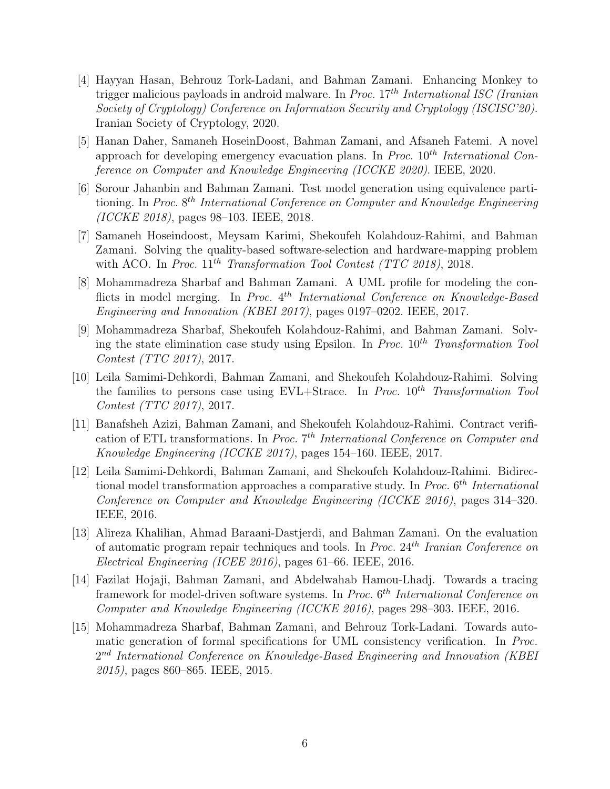- [4] Hayyan Hasan, Behrouz Tork-Ladani, and Bahman Zamani. Enhancing Monkey to trigger malicious payloads in android malware. In Proc.  $17<sup>th</sup> International ISC (Iranian$ Society of Cryptology) Conference on Information Security and Cryptology (ISCISC'20). Iranian Society of Cryptology, 2020.
- [5] Hanan Daher, Samaneh HoseinDoost, Bahman Zamani, and Afsaneh Fatemi. A novel approach for developing emergency evacuation plans. In *Proc.*  $10^{th}$  *International Con*ference on Computer and Knowledge Engineering (ICCKE 2020). IEEE, 2020.
- [6] Sorour Jahanbin and Bahman Zamani. Test model generation using equivalence partitioning. In Proc. 8<sup>th</sup> International Conference on Computer and Knowledge Engineering (ICCKE 2018), pages 98–103. IEEE, 2018.
- [7] Samaneh Hoseindoost, Meysam Karimi, Shekoufeh Kolahdouz-Rahimi, and Bahman Zamani. Solving the quality-based software-selection and hardware-mapping problem with ACO. In Proc.  $11^{th}$  Transformation Tool Contest (TTC 2018), 2018.
- [8] Mohammadreza Sharbaf and Bahman Zamani. A UML profile for modeling the conflicts in model merging. In Proc. 4<sup>th</sup> International Conference on Knowledge-Based Engineering and Innovation (KBEI 2017), pages 0197–0202. IEEE, 2017.
- [9] Mohammadreza Sharbaf, Shekoufeh Kolahdouz-Rahimi, and Bahman Zamani. Solving the state elimination case study using Epsilon. In Proc.  $10^{th}$  Transformation Tool Contest (TTC 2017), 2017.
- [10] Leila Samimi-Dehkordi, Bahman Zamani, and Shekoufeh Kolahdouz-Rahimi. Solving the families to persons case using  $EVL+Strace$ . In *Proc.*  $10^{th}$  Transformation Tool Contest (TTC 2017), 2017.
- [11] Banafsheh Azizi, Bahman Zamani, and Shekoufeh Kolahdouz-Rahimi. Contract verification of ETL transformations. In Proc. 7<sup>th</sup> International Conference on Computer and Knowledge Engineering (ICCKE 2017), pages 154–160. IEEE, 2017.
- [12] Leila Samimi-Dehkordi, Bahman Zamani, and Shekoufeh Kolahdouz-Rahimi. Bidirectional model transformation approaches a comparative study. In Proc. 6<sup>th</sup> International Conference on Computer and Knowledge Engineering (ICCKE 2016), pages 314–320. IEEE, 2016.
- [13] Alireza Khalilian, Ahmad Baraani-Dastjerdi, and Bahman Zamani. On the evaluation of automatic program repair techniques and tools. In *Proc.*  $24<sup>th</sup>$  *Iranian Conference on* Electrical Engineering (ICEE 2016), pages 61–66. IEEE, 2016.
- [14] Fazilat Hojaji, Bahman Zamani, and Abdelwahab Hamou-Lhadj. Towards a tracing framework for model-driven software systems. In Proc. 6<sup>th</sup> International Conference on Computer and Knowledge Engineering (ICCKE 2016), pages 298–303. IEEE, 2016.
- [15] Mohammadreza Sharbaf, Bahman Zamani, and Behrouz Tork-Ladani. Towards automatic generation of formal specifications for UML consistency verification. In Proc.  $2^{nd}$  International Conference on Knowledge-Based Engineering and Innovation (KBEI 2015), pages 860–865. IEEE, 2015.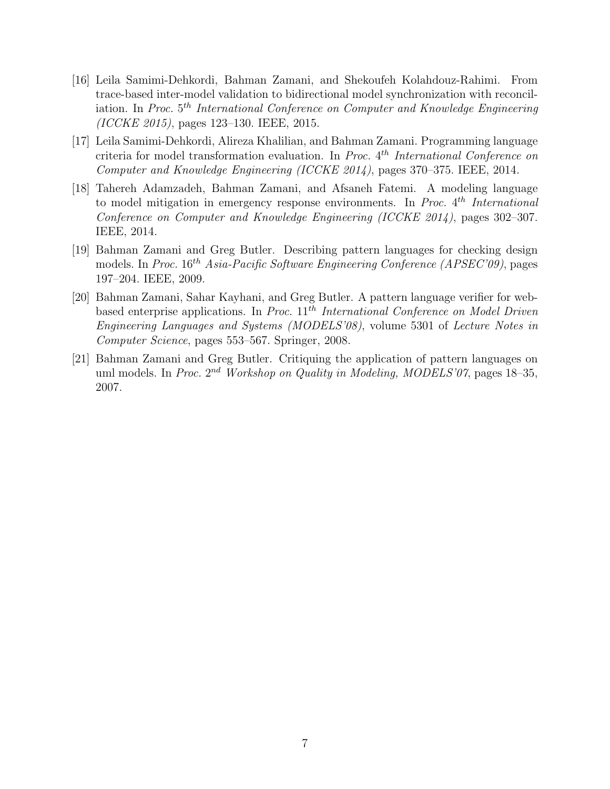- [16] Leila Samimi-Dehkordi, Bahman Zamani, and Shekoufeh Kolahdouz-Rahimi. From trace-based inter-model validation to bidirectional model synchronization with reconciliation. In Proc.  $5^{th}$  International Conference on Computer and Knowledge Engineering (ICCKE 2015), pages 123–130. IEEE, 2015.
- [17] Leila Samimi-Dehkordi, Alireza Khalilian, and Bahman Zamani. Programming language criteria for model transformation evaluation. In Proc. 4<sup>th</sup> International Conference on Computer and Knowledge Engineering (ICCKE 2014), pages 370–375. IEEE, 2014.
- [18] Tahereh Adamzadeh, Bahman Zamani, and Afsaneh Fatemi. A modeling language to model mitigation in emergency response environments. In *Proc.*  $4^{th}$  *International* Conference on Computer and Knowledge Engineering (ICCKE 2014), pages 302–307. IEEE, 2014.
- [19] Bahman Zamani and Greg Butler. Describing pattern languages for checking design models. In Proc.  $16^{th}$  Asia-Pacific Software Engineering Conference (APSEC'09), pages 197–204. IEEE, 2009.
- [20] Bahman Zamani, Sahar Kayhani, and Greg Butler. A pattern language verifier for webbased enterprise applications. In Proc.  $11^{th}$  International Conference on Model Driven Engineering Languages and Systems (MODELS'08), volume 5301 of Lecture Notes in Computer Science, pages 553–567. Springer, 2008.
- [21] Bahman Zamani and Greg Butler. Critiquing the application of pattern languages on uml models. In Proc.  $2^{nd}$  Workshop on Quality in Modeling, MODELS'07, pages 18–35, 2007.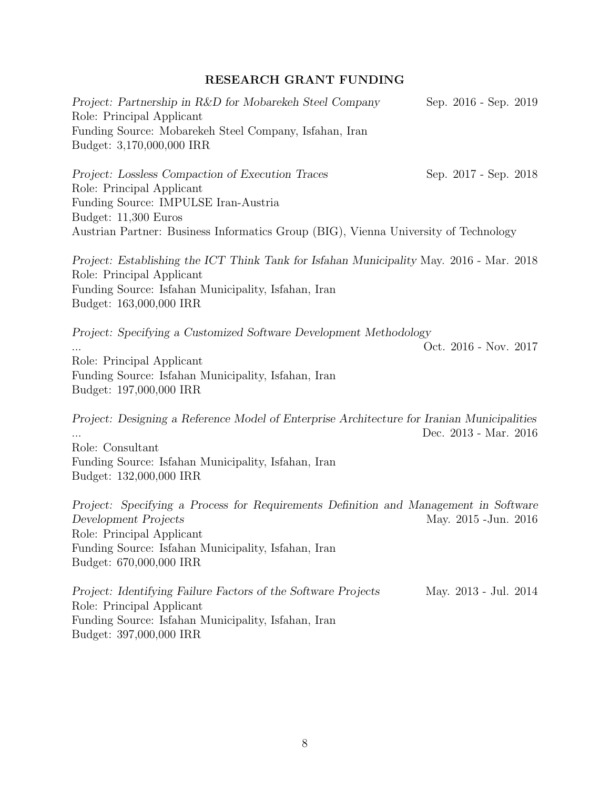# RESEARCH GRANT FUNDING

| Project: Partnership in R&D for Mobarekeh Steel Company<br>Role: Principal Applicant<br>Funding Source: Mobarekeh Steel Company, Isfahan, Iran<br>Budget: 3,170,000,000 IRR                                                          | Sep. 2016 - Sep. 2019 |  |
|--------------------------------------------------------------------------------------------------------------------------------------------------------------------------------------------------------------------------------------|-----------------------|--|
| Project: Lossless Compaction of Execution Traces<br>Role: Principal Applicant<br>Funding Source: IMPULSE Iran-Austria<br>Budget: 11,300 Euros<br>Austrian Partner: Business Informatics Group (BIG), Vienna University of Technology | Sep. 2017 - Sep. 2018 |  |
| Project: Establishing the ICT Think Tank for Isfahan Municipality May. 2016 - Mar. 2018<br>Role: Principal Applicant<br>Funding Source: Isfahan Municipality, Isfahan, Iran<br>Budget: 163,000,000 IRR                               |                       |  |
| Project: Specifying a Customized Software Development Methodology<br>Role: Principal Applicant<br>Funding Source: Isfahan Municipality, Isfahan, Iran<br>Budget: 197,000,000 IRR                                                     | Oct. 2016 - Nov. 2017 |  |
| Project: Designing a Reference Model of Enterprise Architecture for Iranian Municipalities<br>Role: Consultant<br>Funding Source: Isfahan Municipality, Isfahan, Iran<br>Budget: 132,000,000 IRR                                     | Dec. 2013 - Mar. 2016 |  |
| Project: Specifying a Process for Requirements Definition and Management in Software<br>Development Projects<br>Role: Principal Applicant<br>Funding Source: Isfahan Municipality, Isfahan, Iran<br>Budget: 670,000,000 IRR          | May. 2015 - Jun. 2016 |  |
| Project: Identifying Failure Factors of the Software Projects<br>Role: Principal Applicant<br>Funding Source: Isfahan Municipality, Isfahan, Iran                                                                                    | May. 2013 - Jul. 2014 |  |

Budget: 397,000,000 IRR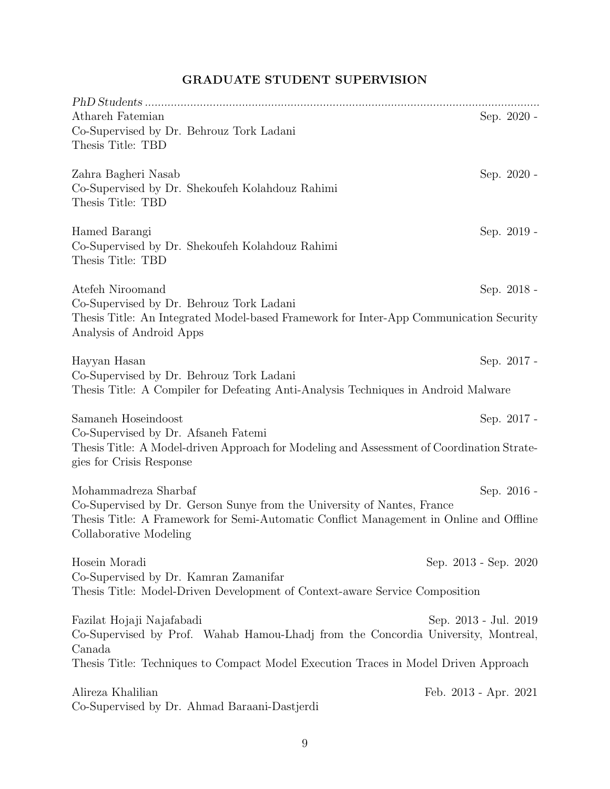| Athareh Fatemian<br>Co-Supervised by Dr. Behrouz Tork Ladani<br>Thesis Title: TBD                                                                                                                                   | Sep. 2020 -           |
|---------------------------------------------------------------------------------------------------------------------------------------------------------------------------------------------------------------------|-----------------------|
| Zahra Bagheri Nasab<br>Co-Supervised by Dr. Shekoufeh Kolahdouz Rahimi<br>Thesis Title: TBD                                                                                                                         | Sep. 2020 -           |
| Hamed Barangi<br>Co-Supervised by Dr. Shekoufeh Kolahdouz Rahimi<br>Thesis Title: TBD                                                                                                                               | Sep. 2019 -           |
| Atefeh Niroomand<br>Co-Supervised by Dr. Behrouz Tork Ladani<br>Thesis Title: An Integrated Model-based Framework for Inter-App Communication Security<br>Analysis of Android Apps                                  | Sep. 2018 -           |
| Hayyan Hasan<br>Co-Supervised by Dr. Behrouz Tork Ladani<br>Thesis Title: A Compiler for Defeating Anti-Analysis Techniques in Android Malware                                                                      | Sep. 2017 -           |
| Samaneh Hoseindoost<br>Co-Supervised by Dr. Afsaneh Fatemi<br>Thesis Title: A Model-driven Approach for Modeling and Assessment of Coordination Strate-<br>gies for Crisis Response                                 | Sep. 2017 -           |
| Mohammadreza Sharbaf<br>Co-Supervised by Dr. Gerson Sunye from the University of Nantes, France<br>Thesis Title: A Framework for Semi-Automatic Conflict Management in Online and Offline<br>Collaborative Modeling | Sep. 2016 -           |
| Hosein Moradi<br>Co-Supervised by Dr. Kamran Zamanifar<br>Thesis Title: Model-Driven Development of Context-aware Service Composition                                                                               | Sep. 2013 - Sep. 2020 |
| Fazilat Hojaji Najafabadi<br>Co-Supervised by Prof. Wahab Hamou-Lhadj from the Concordia University, Montreal,<br>Canada<br>Thesis Title: Techniques to Compact Model Execution Traces in Model Driven Approach     | Sep. 2013 - Jul. 2019 |
| Alireza Khalilian<br>Co-Supervised by Dr. Ahmad Baraani-Dastjerdi                                                                                                                                                   | Feb. 2013 - Apr. 2021 |

# GRADUATE STUDENT SUPERVISION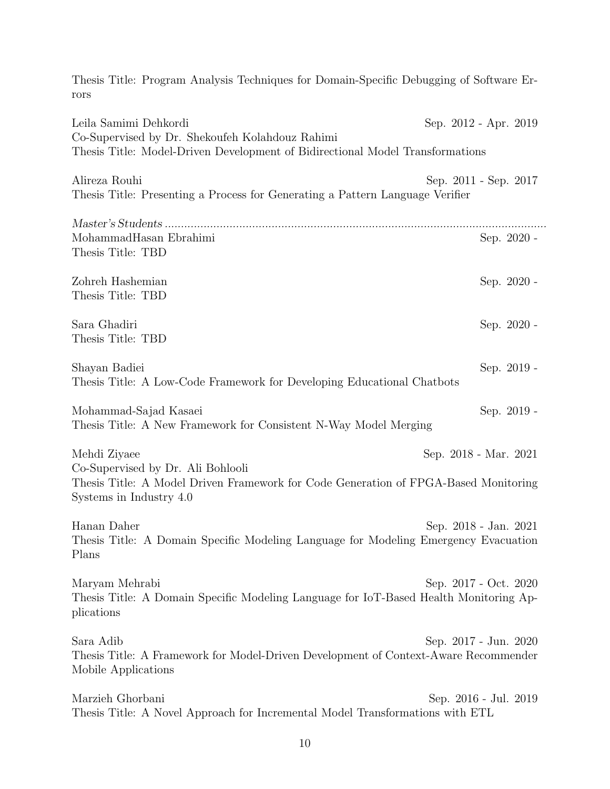| Thesis Title: Program Analysis Techniques for Domain-Specific Debugging of Software Er-<br>rors                                                                     |                       |
|---------------------------------------------------------------------------------------------------------------------------------------------------------------------|-----------------------|
| Leila Samimi Dehkordi<br>Co-Supervised by Dr. Shekoufeh Kolahdouz Rahimi<br>Thesis Title: Model-Driven Development of Bidirectional Model Transformations           | Sep. 2012 - Apr. 2019 |
| Alireza Rouhi<br>Thesis Title: Presenting a Process for Generating a Pattern Language Verifier                                                                      | Sep. 2011 - Sep. 2017 |
| MohammadHasan Ebrahimi<br>Thesis Title: TBD                                                                                                                         | Sep. 2020 -           |
| Zohreh Hashemian<br>Thesis Title: TBD                                                                                                                               | Sep. 2020 -           |
| Sara Ghadiri<br>Thesis Title: TBD                                                                                                                                   | Sep. 2020 -           |
| Shayan Badiei<br>Thesis Title: A Low-Code Framework for Developing Educational Chatbots                                                                             | Sep. 2019 -           |
| Mohammad-Sajad Kasaei<br>Thesis Title: A New Framework for Consistent N-Way Model Merging                                                                           | Sep. 2019 -           |
| Mehdi Ziyaee<br>Co-Supervised by Dr. Ali Bohlooli<br>Thesis Title: A Model Driven Framework for Code Generation of FPGA-Based Monitoring<br>Systems in Industry 4.0 | Sep. 2018 - Mar. 2021 |
| Hanan Daher<br>Thesis Title: A Domain Specific Modeling Language for Modeling Emergency Evacuation<br>Plans                                                         | Sep. 2018 - Jan. 2021 |
| Maryam Mehrabi<br>Thesis Title: A Domain Specific Modeling Language for IoT-Based Health Monitoring Ap-<br>plications                                               | Sep. 2017 - Oct. 2020 |
| Sara Adib<br>Thesis Title: A Framework for Model-Driven Development of Context-Aware Recommender<br>Mobile Applications                                             | Sep. 2017 - Jun. 2020 |
| Marzieh Ghorbani<br>Thesis Title: A Novel Approach for Incremental Model Transformations with ETL                                                                   | Sep. 2016 - Jul. 2019 |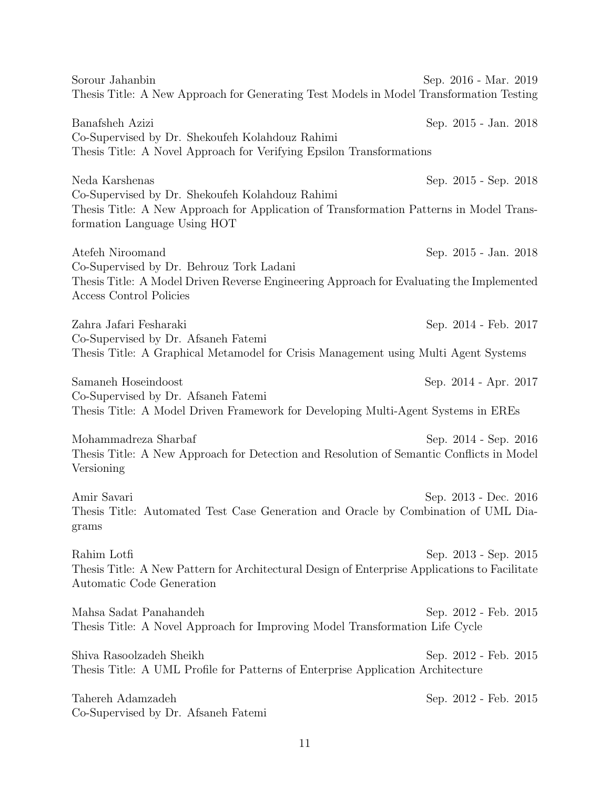Sorour Jahanbin Sep. 2016 - Mar. 2019 Thesis Title: A New Approach for Generating Test Models in Model Transformation Testing Banafsheh Azizi Sep. 2015 - Jan. 2018 Co-Supervised by Dr. Shekoufeh Kolahdouz Rahimi Thesis Title: A Novel Approach for Verifying Epsilon Transformations Neda Karshenas Sep. 2015 - Sep. 2018 Co-Supervised by Dr. Shekoufeh Kolahdouz Rahimi Thesis Title: A New Approach for Application of Transformation Patterns in Model Transformation Language Using HOT Atefeh Niroomand Sep. 2015 - Jan. 2018 Co-Supervised by Dr. Behrouz Tork Ladani Thesis Title: A Model Driven Reverse Engineering Approach for Evaluating the Implemented Access Control Policies Zahra Jafari Fesharaki Sep. 2014 - Feb. 2017 Co-Supervised by Dr. Afsaneh Fatemi Thesis Title: A Graphical Metamodel for Crisis Management using Multi Agent Systems Samaneh Hoseindoost Sep. 2014 - Apr. 2017 Co-Supervised by Dr. Afsaneh Fatemi Thesis Title: A Model Driven Framework for Developing Multi-Agent Systems in EREs Mohammadreza Sharbaf Sep. 2014 - Sep. 2016 Thesis Title: A New Approach for Detection and Resolution of Semantic Conflicts in Model Versioning Amir Savari Sep. 2013 - Dec. 2016 Thesis Title: Automated Test Case Generation and Oracle by Combination of UML Diagrams Rahim Lotfi Sep. 2013 - Sep. 2015 Thesis Title: A New Pattern for Architectural Design of Enterprise Applications to Facilitate Automatic Code Generation Mahsa Sadat Panahandeh Sep. 2012 - Feb. 2015 Thesis Title: A Novel Approach for Improving Model Transformation Life Cycle Shiva Rasoolzadeh Sheikh Sep. 2012 - Feb. 2015 Thesis Title: A UML Profile for Patterns of Enterprise Application Architecture Tahereh Adamzadeh Sep. 2012 - Feb. 2015 Co-Supervised by Dr. Afsaneh Fatemi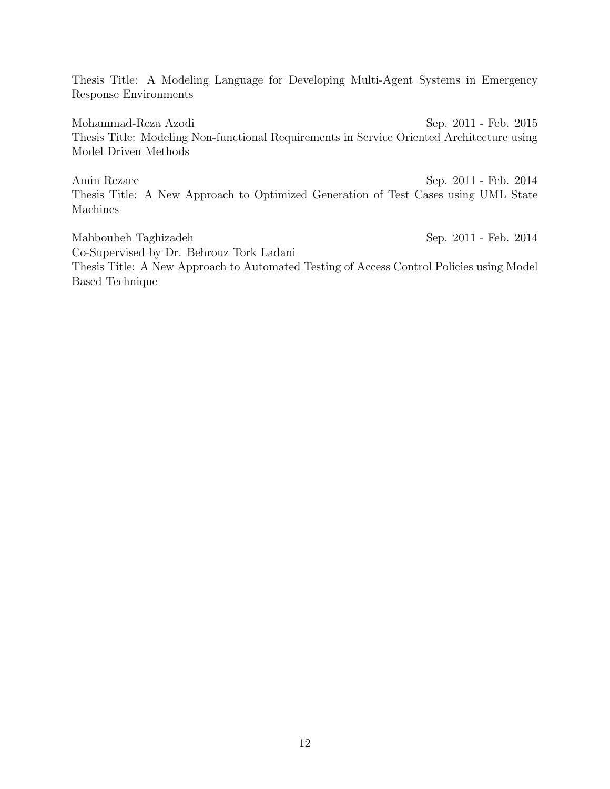Thesis Title: A Modeling Language for Developing Multi-Agent Systems in Emergency Response Environments

Mohammad-Reza Azodi Sep. 2011 - Feb. 2015 Thesis Title: Modeling Non-functional Requirements in Service Oriented Architecture using Model Driven Methods

Amin Rezaee Sep. 2011 - Feb. 2014 Thesis Title: A New Approach to Optimized Generation of Test Cases using UML State Machines

Mahboubeh Taghizadeh Sep. 2011 - Feb. 2014 Co-Supervised by Dr. Behrouz Tork Ladani Thesis Title: A New Approach to Automated Testing of Access Control Policies using Model Based Technique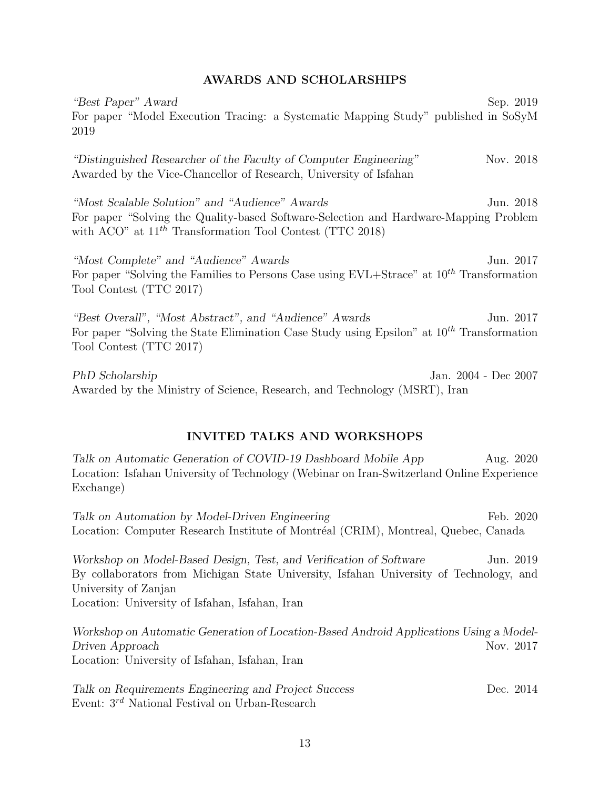# AWARDS AND SCHOLARSHIPS

"Best Paper" Award Sep. 2019 For paper "Model Execution Tracing: a Systematic Mapping Study" published in SoSyM 2019 "Distinguished Researcher of the Faculty of Computer Engineering" Nov. 2018 Awarded by the Vice-Chancellor of Research, University of Isfahan "Most Scalable Solution" and "Audience" Awards Jun. 2018 For paper "Solving the Quality-based Software-Selection and Hardware-Mapping Problem with ACO" at  $11^{th}$  Transformation Tool Contest (TTC 2018) "Most Complete" and "Audience" Awards Jun. 2017 For paper "Solving the Families to Persons Case using  $EVL+Strace$ " at  $10^{th}$  Transformation Tool Contest (TTC 2017) "Best Overall", "Most Abstract", and "Audience" Awards Jun. 2017 For paper "Solving the State Elimination Case Study using Epsilon" at  $10^{th}$  Transformation

PhD Scholarship Jan. 2004 - Dec 2007 Awarded by the Ministry of Science, Research, and Technology (MSRT), Iran

Tool Contest (TTC 2017)

# INVITED TALKS AND WORKSHOPS

Talk on Automatic Generation of COVID-19 Dashboard Mobile App Aug. 2020 Location: Isfahan University of Technology (Webinar on Iran-Switzerland Online Experience Exchange)

Talk on Automation by Model-Driven Engineering Feb. 2020 Location: Computer Research Institute of Montréal (CRIM), Montreal, Quebec, Canada

Workshop on Model-Based Design, Test, and Verification of Software Jun. 2019 By collaborators from Michigan State University, Isfahan University of Technology, and University of Zanjan Location: University of Isfahan, Isfahan, Iran

Workshop on Automatic Generation of Location-Based Android Applications Using a Model-Driven Approach Nov. 2017 Location: University of Isfahan, Isfahan, Iran

Talk on Requirements Engineering and Project Success Dec. 2014 Event: 3rd National Festival on Urban-Research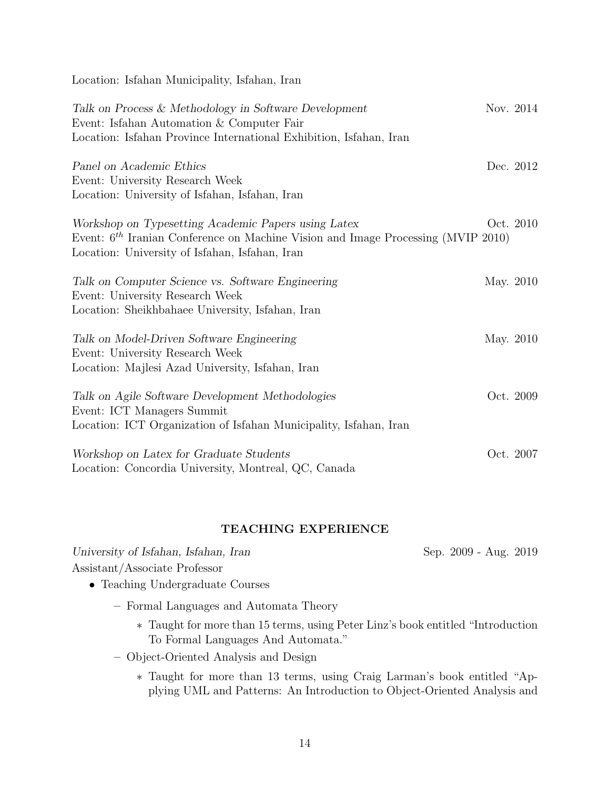Location: Isfahan Municipality, Isfahan, Iran

| Talk on Process & Methodology in Software Development<br>Event: Isfahan Automation & Computer Fair<br>Location: Isfahan Province International Exhibition, Isfahan, Iran                    | Nov. 2014 |           |
|---------------------------------------------------------------------------------------------------------------------------------------------------------------------------------------------|-----------|-----------|
| Panel on Academic Ethics<br>Event: University Research Week<br>Location: University of Isfahan, Isfahan, Iran                                                                               |           | Dec. 2012 |
| Workshop on Typesetting Academic Papers using Latex<br>Event: $6th$ Iranian Conference on Machine Vision and Image Processing (MVIP 2010)<br>Location: University of Isfahan, Isfahan, Iran |           | Oct. 2010 |
| Talk on Computer Science vs. Software Engineering<br>Event: University Research Week<br>Location: Sheikhbahaee University, Isfahan, Iran                                                    | May. 2010 |           |
| Talk on Model-Driven Software Engineering<br>Event: University Research Week<br>Location: Majlesi Azad University, Isfahan, Iran                                                            | May. 2010 |           |
| Talk on Agile Software Development Methodologies<br>Event: ICT Managers Summit<br>Location: ICT Organization of Isfahan Municipality, Isfahan, Iran                                         |           | Oct. 2009 |
| Workshop on Latex for Graduate Students<br>Location: Concordia University, Montreal, QC, Canada                                                                                             |           | Oct. 2007 |

# TEACHING EXPERIENCE

| University of Isfahan, Isfahan, Iran                                             | Sep. 2009 - Aug. 2019 |
|----------------------------------------------------------------------------------|-----------------------|
| Assistant/Associate Professor                                                    |                       |
| • Teaching Undergraduate Courses                                                 |                       |
| - Formal Languages and Automata Theory                                           |                       |
| * Taught for more than 15 terms, using Peter Linz's book entitled "Introduction" |                       |
| To Formal Languages And Automata."                                               |                       |

- Object-Oriented Analysis and Design
	- ∗ Taught for more than 13 terms, using Craig Larman's book entitled "Applying UML and Patterns: An Introduction to Object-Oriented Analysis and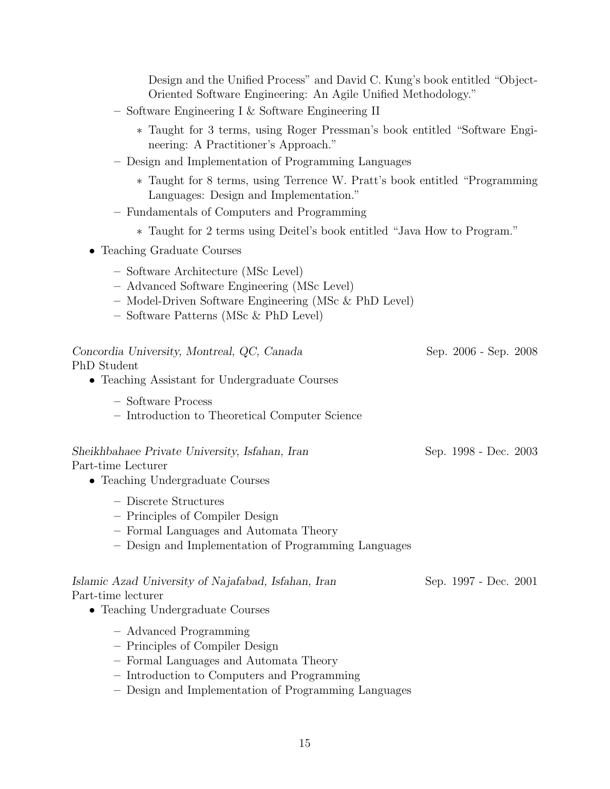Design and the Unified Process" and David C. Kung's book entitled "Object-Oriented Software Engineering: An Agile Unified Methodology."

- Software Engineering I & Software Engineering II
	- ∗ Taught for 3 terms, using Roger Pressman's book entitled "Software Engineering: A Practitioner's Approach."
- Design and Implementation of Programming Languages
	- ∗ Taught for 8 terms, using Terrence W. Pratt's book entitled "Programming Languages: Design and Implementation."
- Fundamentals of Computers and Programming
	- ∗ Taught for 2 terms using Deitel's book entitled "Java How to Program."
- Teaching Graduate Courses
	- Software Architecture (MSc Level)
	- Advanced Software Engineering (MSc Level)
	- Model-Driven Software Engineering (MSc & PhD Level)
	- Software Patterns (MSc & PhD Level)

| Concordia University, Montreal, QC, Canada<br>PhD Student<br>• Teaching Assistant for Undergraduate Courses                                                                                              | Sep. 2006 - Sep. 2008 |
|----------------------------------------------------------------------------------------------------------------------------------------------------------------------------------------------------------|-----------------------|
| - Software Process<br>- Introduction to Theoretical Computer Science                                                                                                                                     |                       |
| Sheikhbahaee Private University, Isfahan, Iran<br>Part-time Lecturer<br>• Teaching Undergraduate Courses                                                                                                 | Sep. 1998 - Dec. 2003 |
| - Discrete Structures<br>- Principles of Compiler Design<br>- Formal Languages and Automata Theory<br>- Design and Implementation of Programming Languages                                               |                       |
| Islamic Azad University of Najafabad, Isfahan, Iran<br>Part-time lecturer<br>• Teaching Undergraduate Courses                                                                                            | Sep. 1997 - Dec. 2001 |
| - Advanced Programming<br>- Principles of Compiler Design<br>- Formal Languages and Automata Theory<br>- Introduction to Computers and Programming<br>Docian and Implementation of Programming Languages |                       |

– Design and Implementation of Programming Languages